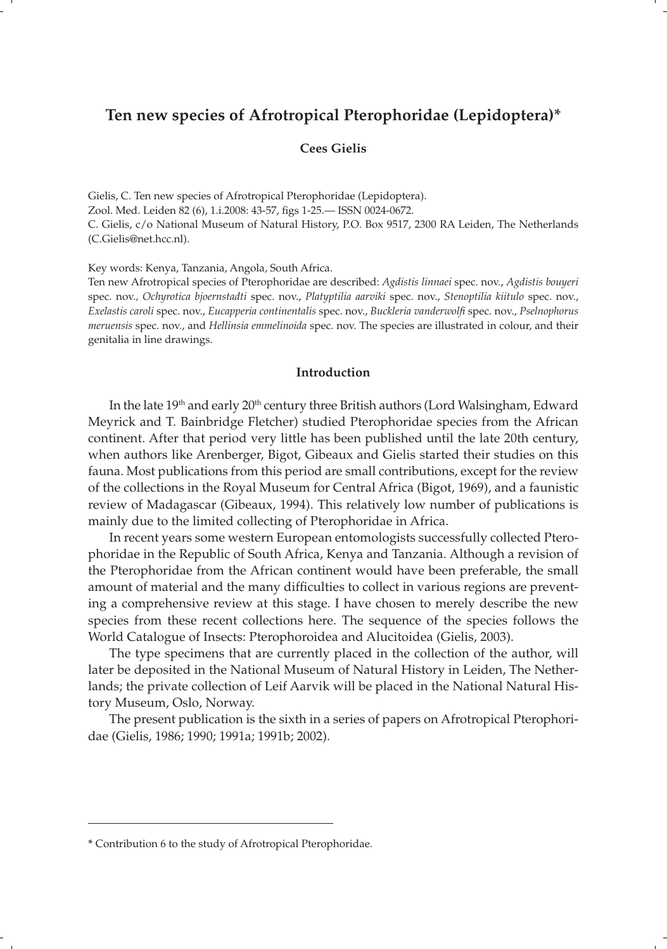# **Ten new species of Afrotropical Pterophoridae (Lepidoptera)\***

# **Cees Gielis**

Gielis, C. Ten new species of Afrotropical Pterophoridae (Lepidoptera). Zool. Med. Leiden 82 (6), 1.i.2008: 43-57, figs 1-25. - ISSN 0024-0672. C. Gielis, c/o National Museum of Natural History, P.O. Box 9517, 2300 RA Leiden, The Netherlands (C.Gielis@net.hcc.nl).

Key words: Kenya, Tanzania, Angola, South Africa.

Ten new Afrotropical species of Pterophoridae are described: *Agdistis linnaei* spec. nov., *Agdistis bouyeri*  spec. nov.*, Ochyrotica bjoernstadti* spec. nov., *Platyptilia aarviki* spec. nov., *Stenoptilia kiitulo* spec. nov., *Exelastis caroli* spec. nov., *Eucapperia continentalis* spec. nov., *Buckleria vanderwolfi* spec. nov., *Pselnophorus meruensis* spec. nov., and *Hellinsia emmelinoida* spec. nov. The species are illustrated in colour, and their genitalia in line drawings.

## **Introduction**

In the late  $19<sup>th</sup>$  and early  $20<sup>th</sup>$  century three British authors (Lord Walsingham, Edward Meyrick and T. Bainbridge Fletcher) studied Pterophoridae species from the African continent. After that period very little has been published until the late 20th century, when authors like Arenberger, Bigot, Gibeaux and Gielis started their studies on this fauna. Most publications from this period are small contributions, except for the review of the collections in the Royal Museum for Central Africa (Bigot, 1969), and a faunistic review of Madagascar (Gibeaux, 1994). This relatively low number of publications is mainly due to the limited collecting of Pterophoridae in Africa.

 In recent years some western European entomologists successfully collected Pterophoridae in the Republic of South Africa, Kenya and Tanzania. Although a revision of the Pterophoridae from the African continent would have been preferable, the small amount of material and the many difficulties to collect in various regions are preventing a comprehensive review at this stage. I have chosen to merely describe the new species from these recent collections here. The sequence of the species follows the World Catalogue of Insects: Pterophoroidea and Alucitoidea (Gielis, 2003).

 The type specimens that are currently placed in the collection of the author, will later be deposited in the National Museum of Natural History in Leiden, The Netherlands; the private collection of Leif Aarvik will be placed in the National Natural History Museum, Oslo, Norway.

 The present publication is the sixth in a series of papers on Afrotropical Pterophoridae (Gielis, 1986; 1990; 1991a; 1991b; 2002).

**<sup>\*</sup>** Contribution 6 to the study of Afrotropical Pterophoridae.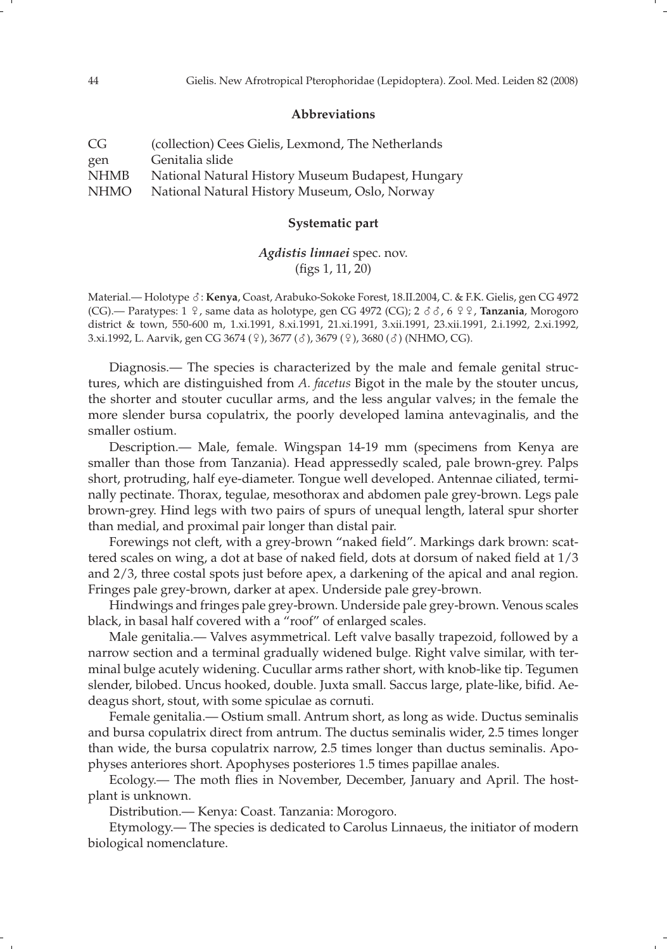#### **Abbreviations**

| CG.         | (collection) Cees Gielis, Lexmond, The Netherlands |
|-------------|----------------------------------------------------|
| gen         | Genitalia slide                                    |
| <b>NHMB</b> | National Natural History Museum Budapest, Hungary  |
| <b>NHMO</b> | National Natural History Museum, Oslo, Norway      |

#### **Systematic part**

# *Agdistis linnaei* spec. nov.  $(figs 1, 11, 20)$

Material.— Holotype ♂: **Kenya,** Coast, Arabuko-Sokoke Forest, 18.II.2004, C. & F.K. Gielis, gen CG 4972 (CG).— Paratypes: 1 º, same data as holotype, gen CG 4972 (CG); 2  $\delta \delta$ , 6 º º, Tanzania, Morogoro district & town, 550-600 m, 1.xi.1991, 8.xi.1991, 21.xi.1991, 3.xii.1991, 23.xii.1991, 2.i.1992, 2.xi.1992, 3.xi.1992, L. Aarvik, gen CG 3674 (♀), 3677 (♂), 3679 (♀), 3680 (♂) (NHMO, CG).

 Diagnosis.— The species is characterized by the male and female genital structures, which are distinguished from *A. facetus* Bigot in the male by the stouter uncus, the shorter and stouter cucullar arms, and the less angular valves; in the female the more slender bursa copulatrix, the poorly developed lamina antevaginalis, and the smaller ostium.

 Description.— Male, female. Wingspan 14-19 mm (specimens from Kenya are smaller than those from Tanzania). Head appressedly scaled, pale brown-grey. Palps short, protruding, half eye-diameter. Tongue well developed. Antennae ciliated, terminally pectinate. Thorax, tegulae, mesothorax and abdomen pale grey-brown. Legs pale brown-grey. Hind legs with two pairs of spurs of unequal length, lateral spur shorter than medial, and proximal pair longer than distal pair.

Forewings not cleft, with a grey-brown "naked field". Markings dark brown: scattered scales on wing, a dot at base of naked field, dots at dorsum of naked field at  $1/3$ and 2/3, three costal spots just before apex, a darkening of the apical and anal region. Fringes pale grey-brown, darker at apex. Underside pale grey-brown.

 Hindwings and fringes pale grey-brown. Underside pale grey-brown. Venous scales black, in basal half covered with a "roof" of enlarged scales.

 Male genitalia.— Valves asymmetrical. Left valve basally trapezoid, followed by a narrow section and a terminal gradually widened bulge. Right valve similar, with terminal bulge acutely widening. Cucullar arms rather short, with knob-like tip. Tegumen slender, bilobed. Uncus hooked, double. Juxta small. Saccus large, plate-like, bifid. Aedeagus short, stout, with some spiculae as cornuti.

 Female genitalia.— Ostium small. Antrum short, as long as wide. Ductus seminalis and bursa copulatrix direct from antrum. The ductus seminalis wider, 2.5 times longer than wide, the bursa copulatrix narrow, 2.5 times longer than ductus seminalis. Apophyses anteriores short. Apophyses posteriores 1.5 times papillae anales.

Ecology.— The moth flies in November, December, January and April. The hostplant is unknown.

Distribution.— Kenya: Coast. Tanzania: Morogoro.

 Etymology.— The species is dedicated to Carolus Linnaeus, the initiator of modern biological nomenclature.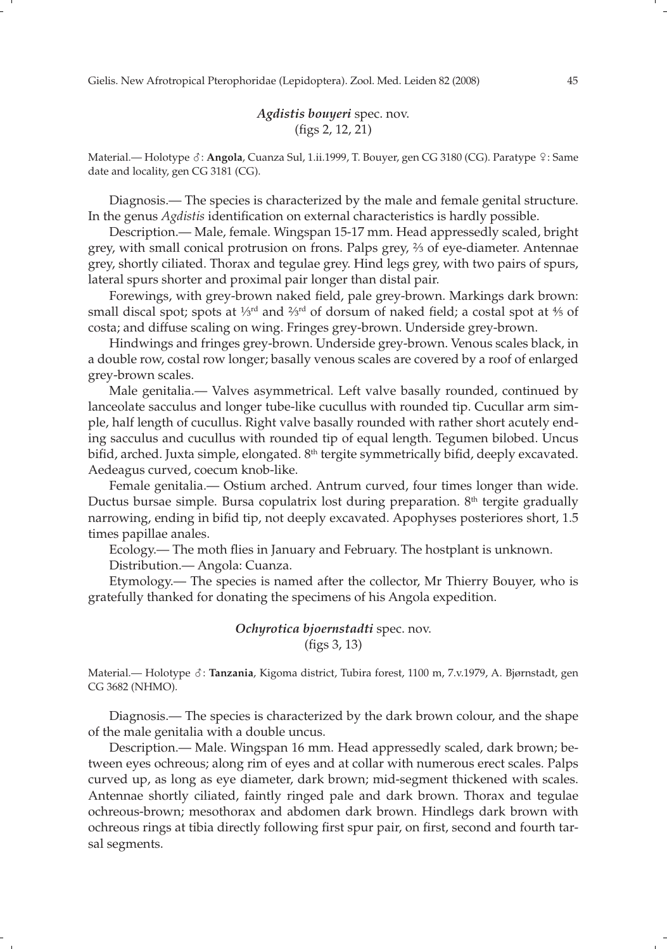*Agdistis bouyeri* spec. nov.  $(figs 2, 12, 21)$ 

Material.— Holotype ♂: **Angola**, Cuanza Sul, 1.ii.1999, T. Bouyer, gen CG 3180 (CG). Paratype ♀: Same date and locality, gen CG 3181 (CG).

 Diagnosis.— The species is characterized by the male and female genital structure. In the genus *Agdistis* identification on external characteristics is hardly possible.

 Description.— Male, female. Wingspan 15-17 mm. Head appressedly scaled, bright grey, with small conical protrusion on frons. Palps grey, ⅔ of eye-diameter. Antennae grey, shortly ciliated. Thorax and tegulae grey. Hind legs grey, with two pairs of spurs, lateral spurs shorter and proximal pair longer than distal pair.

Forewings, with grey-brown naked field, pale grey-brown. Markings dark brown: small discal spot; spots at ¼<sup>rd</sup> and ¼<sup>rd</sup> of dorsum of naked field; a costal spot at <sup>4</sup>/s of costa; and diffuse scaling on wing. Fringes grey-brown. Underside grey-brown.

 Hindwings and fringes grey-brown. Underside grey-brown. Venous scales black, in a double row, costal row longer; basally venous scales are covered by a roof of enlarged grey-brown scales.

 Male genitalia.— Valves asymmetrical. Left valve basally rounded, continued by lanceolate sacculus and longer tube-like cucullus with rounded tip. Cucullar arm simple, half length of cucullus. Right valve basally rounded with rather short acutely ending sacculus and cucullus with rounded tip of equal length. Tegumen bilobed. Uncus bifid, arched. Juxta simple, elongated. 8<sup>th</sup> tergite symmetrically bifid, deeply excavated. Aedeagus curved, coecum knob-like.

 Female genitalia.— Ostium arched. Antrum curved, four times longer than wide. Ductus bursae simple. Bursa copulatrix lost during preparation. 8<sup>th</sup> tergite gradually narrowing, ending in bifid tip, not deeply excavated. Apophyses posteriores short, 1.5 times papillae anales.

Ecology.— The moth flies in January and February. The hostplant is unknown. Distribution.— Angola: Cuanza.

 Etymology.— The species is named after the collector, Mr Thierry Bouyer, who is gratefully thanked for donating the specimens of his Angola expedition.

> *Ochyrotica bjoernstadti* spec. nov.  $(figs 3, 13)$

Material.— Holotype ♂: **Tanzania**, Kigoma district, Tubira forest, 1100 m, 7.v.1979, A. Bjørnstadt, gen CG 3682 (NHMO).

 Diagnosis.— The species is characterized by the dark brown colour, and the shape of the male genitalia with a double uncus.

 Description.— Male. Wingspan 16 mm. Head appressedly scaled, dark brown; between eyes ochreous; along rim of eyes and at collar with numerous erect scales. Palps curved up, as long as eye diameter, dark brown; mid-segment thickened with scales. Antennae shortly ciliated, faintly ringed pale and dark brown. Thorax and tegulae ochreous-brown; mesothorax and abdomen dark brown. Hindlegs dark brown with ochreous rings at tibia directly following first spur pair, on first, second and fourth tarsal segments.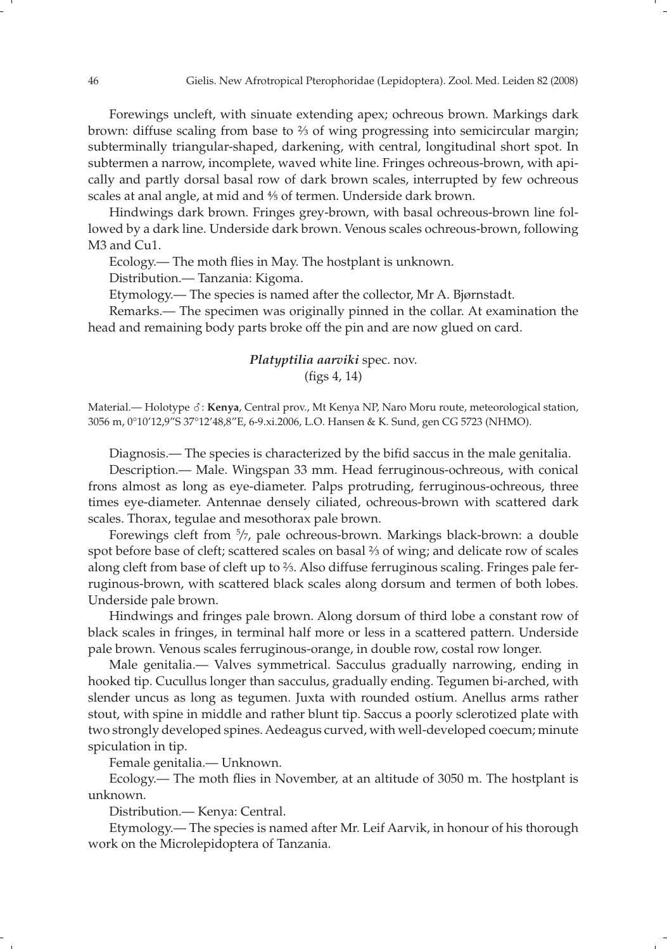Forewings uncleft, with sinuate extending apex; ochreous brown. Markings dark brown: diffuse scaling from base to ⅔ of wing progressing into semicircular margin; subterminally triangular-shaped, darkening, with central, longitudinal short spot. In subtermen a narrow, incomplete, waved white line. Fringes ochreous-brown, with apically and partly dorsal basal row of dark brown scales, interrupted by few ochreous scales at anal angle, at mid and <sup>4</sup>/<sub>5</sub> of termen. Underside dark brown.

 Hindwings dark brown. Fringes grey-brown, with basal ochreous-brown line followed by a dark line. Underside dark brown. Venous scales ochreous-brown, following M3 and Cu1.

Ecology.— The moth flies in May. The hostplant is unknown.

Distribution.— Tanzania: Kigoma.

Etymology.— The species is named after the collector, Mr A. Bjørnstadt.

 Remarks.— The specimen was originally pinned in the collar. At examination the head and remaining body parts broke off the pin and are now glued on card.

# *Platyptilia aarviki* spec. nov.  $(figs 4, 14)$

Material.— Holotype  $\delta$ : **Kenya**, Central prov., Mt Kenya NP, Naro Moru route, meteorological station, 3056 m, 0°10'12,9"S 37°12'48,8"E, 6-9.xi.2006, L.O. Hansen & K. Sund, gen CG 5723 (NHMO).

Diagnosis.— The species is characterized by the bifid saccus in the male genitalia.

 Description.— Male. Wingspan 33 mm. Head ferruginous-ochreous, with conical frons almost as long as eye-diameter. Palps protruding, ferruginous-ochreous, three times eye-diameter. Antennae densely ciliated, ochreous-brown with scattered dark scales. Thorax, tegulae and mesothorax pale brown.

 Forewings cleft from 5 /7, pale ochreous-brown. Markings black-brown: a double spot before base of cleft; scattered scales on basal ⅔ of wing; and delicate row of scales along cleft from base of cleft up to ⅔. Also diffuse ferruginous scaling. Fringes pale ferruginous-brown, with scattered black scales along dorsum and termen of both lobes. Underside pale brown.

 Hindwings and fringes pale brown. Along dorsum of third lobe a constant row of black scales in fringes, in terminal half more or less in a scattered pattern. Underside pale brown. Venous scales ferruginous-orange, in double row, costal row longer.

 Male genitalia.— Valves symmetrical. Sacculus gradually narrowing, ending in hooked tip. Cucullus longer than sacculus, gradually ending. Tegumen bi-arched, with slender uncus as long as tegumen. Juxta with rounded ostium. Anellus arms rather stout, with spine in middle and rather blunt tip. Saccus a poorly sclerotized plate with two strongly developed spines. Aedeagus curved, with well-developed coecum; minute spiculation in tip.

Female genitalia.— Unknown.

Ecology.— The moth flies in November, at an altitude of 3050 m. The hostplant is unknown.

Distribution.— Kenya: Central.

 Etymology.— The species is named after Mr. Leif Aarvik, in honour of his thorough work on the Microlepidoptera of Tanzania.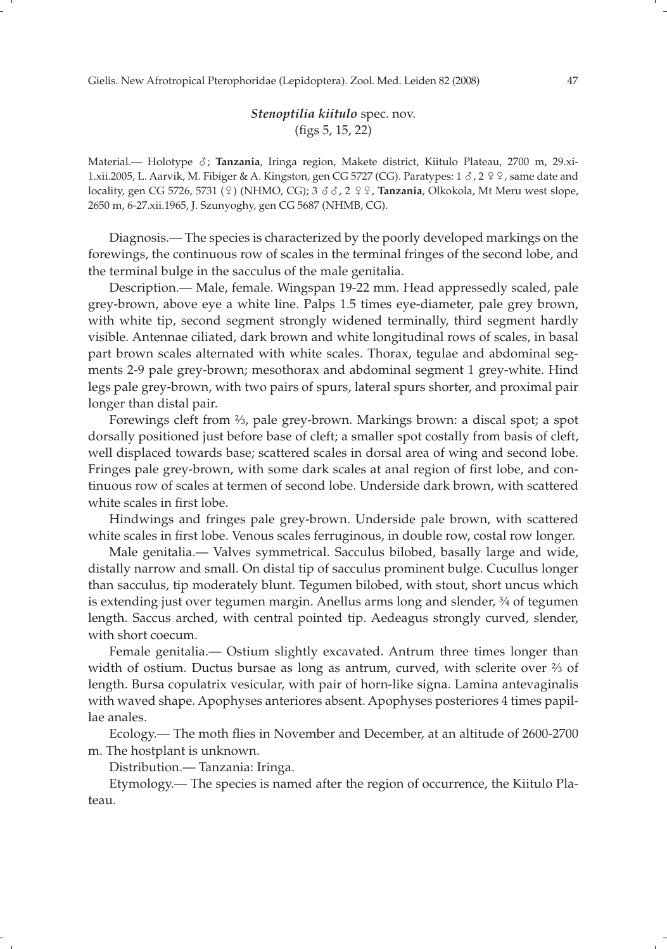*Stenoptilia kiitulo* spec. nov.  $(figs 5, 15, 22)$ 

Material.— Holotype *Š*; **Tanzania**, Iringa region, Makete district, Kiitulo Plateau, 2700 m, 29.xi-1.xii.2005, L. Aarvik, M. Fibiger & A. Kingston, gen CG 5727 (CG). Paratypes: 1  $\delta$ , 2  $\frac{9}{7}$  , same date and locality, gen CG 5726, 5731 (♀) (NHMO, CG); 3 ♂ *6* , 2 ♀♀, **Tanzania**, Olkokola, Mt Meru west slope, 2650 m, 6-27.xii.1965, J. Szunyoghy, gen CG 5687 (NHMB, CG).

 Diagnosis.— The species is characterized by the poorly developed markings on the forewings, the continuous row of scales in the terminal fringes of the second lobe, and the terminal bulge in the sacculus of the male genitalia.

 Description.— Male, female. Wingspan 19-22 mm. Head appressedly scaled, pale grey-brown, above eye a white line. Palps 1.5 times eye-diameter, pale grey brown, with white tip, second segment strongly widened terminally, third segment hardly visible. Antennae ciliated, dark brown and white longitudinal rows of scales, in basal part brown scales alternated with white scales. Thorax, tegulae and abdominal segments 2-9 pale grey-brown; mesothorax and abdominal segment 1 grey-white. Hind legs pale grey-brown, with two pairs of spurs, lateral spurs shorter, and proximal pair longer than distal pair.

 Forewings cleft from ⅔, pale grey-brown. Markings brown: a discal spot; a spot dorsally positioned just before base of cleft; a smaller spot costally from basis of cleft, well displaced towards base; scattered scales in dorsal area of wing and second lobe. Fringes pale grey-brown, with some dark scales at anal region of first lobe, and continuous row of scales at termen of second lobe. Underside dark brown, with scattered white scales in first lobe.

 Hindwings and fringes pale grey-brown. Underside pale brown, with scattered white scales in first lobe. Venous scales ferruginous, in double row, costal row longer.

 Male genitalia.— Valves symmetrical. Sacculus bilobed, basally large and wide, distally narrow and small. On distal tip of sacculus prominent bulge. Cucullus longer than sacculus, tip moderately blunt. Tegumen bilobed, with stout, short uncus which is extending just over tegumen margin. Anellus arms long and slender,  $\frac{3}{4}$  of tegumen length. Saccus arched, with central pointed tip. Aedeagus strongly curved, slender, with short coecum.

 Female genitalia.— Ostium slightly excavated. Antrum three times longer than width of ostium. Ductus bursae as long as antrum, curved, with sclerite over ⅔ of length. Bursa copulatrix vesicular, with pair of horn-like signa. Lamina antevaginalis with waved shape. Apophyses anteriores absent. Apophyses posteriores 4 times papillae anales.

Ecology.— The moth flies in November and December, at an altitude of 2600-2700 m. The hostplant is unknown.

Distribution.— Tanzania: Iringa.

 Etymology.— The species is named after the region of occurrence, the Kiitulo Plateau.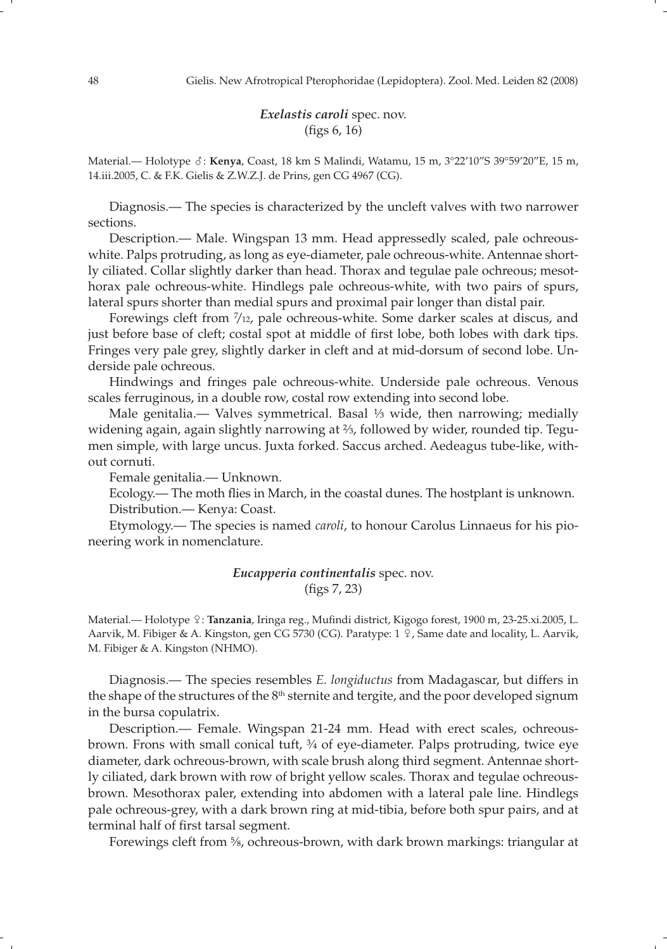# *Exelastis caroli* spec. nov.  $(figs 6, 16)$

Material.— Holotype *δ* : **Kenya**, Coast, 18 km S Malindi, Watamu, 15 m, 3°22′10″S 39°59′20″E, 15 m, 14.iii.2005, C. & F.K. Gielis & Z.W.Z.J. de Prins, gen CG 4967 (CG).

 Diagnosis.— The species is characterized by the uncleft valves with two narrower sections.

 Description.— Male. Wingspan 13 mm. Head appressedly scaled, pale ochreouswhite. Palps protruding, as long as eye-diameter, pale ochreous-white. Antennae shortly ciliated. Collar slightly darker than head. Thorax and tegulae pale ochreous; mesothorax pale ochreous-white. Hindlegs pale ochreous-white, with two pairs of spurs, lateral spurs shorter than medial spurs and proximal pair longer than distal pair.

Forewings cleft from  $\frac{7}{12}$ , pale ochreous-white. Some darker scales at discus, and just before base of cleft; costal spot at middle of first lobe, both lobes with dark tips. Fringes very pale grey, slightly darker in cleft and at mid-dorsum of second lobe. Underside pale ochreous.

 Hindwings and fringes pale ochreous-white. Underside pale ochreous. Venous scales ferruginous, in a double row, costal row extending into second lobe.

 Male genitalia.— Valves symmetrical. Basal ⅓ wide, then narrowing; medially widening again, again slightly narrowing at ⅔, followed by wider, rounded tip. Tegumen simple, with large uncus. Juxta forked. Saccus arched. Aedeagus tube-like, without cornuti.

Female genitalia.— Unknown.

Ecology.— The moth flies in March, in the coastal dunes. The hostplant is unknown. Distribution.— Kenya: Coast.

 Etymology.— The species is named *caroli*, to honour Carolus Linnaeus for his pioneering work in nomenclature.

> *Eucapperia continentalis* spec. nov.  $(figs 7, 23)$

Material.— Holotype ?: Tanzania, Iringa reg., Mufindi district, Kigogo forest, 1900 m, 23-25.xi.2005, L. Aarvik, M. Fibiger & A. Kingston, gen CG 5730 (CG). Paratype: 1  $\sqrt{2}$ , Same date and locality, L. Aarvik, M. Fibiger & A. Kingston (NHMO).

 Diagnosis.— The species resembles *E. longiductus* from Madagascar, but differs in the shape of the structures of the  $8<sup>th</sup>$  sternite and tergite, and the poor developed signum in the bursa copulatrix.

 Description.— Female. Wingspan 21-24 mm. Head with erect scales, ochreousbrown. Frons with small conical tuft, 34 of eye-diameter. Palps protruding, twice eye diameter, dark ochreous-brown, with scale brush along third segment. Antennae shortly ciliated, dark brown with row of bright yellow scales. Thorax and tegulae ochreousbrown. Mesothorax paler, extending into abdomen with a lateral pale line. Hindlegs pale ochreous-grey, with a dark brown ring at mid-tibia, before both spur pairs, and at terminal half of first tarsal segment.

Forewings cleft from ⅝, ochreous-brown, with dark brown markings: triangular at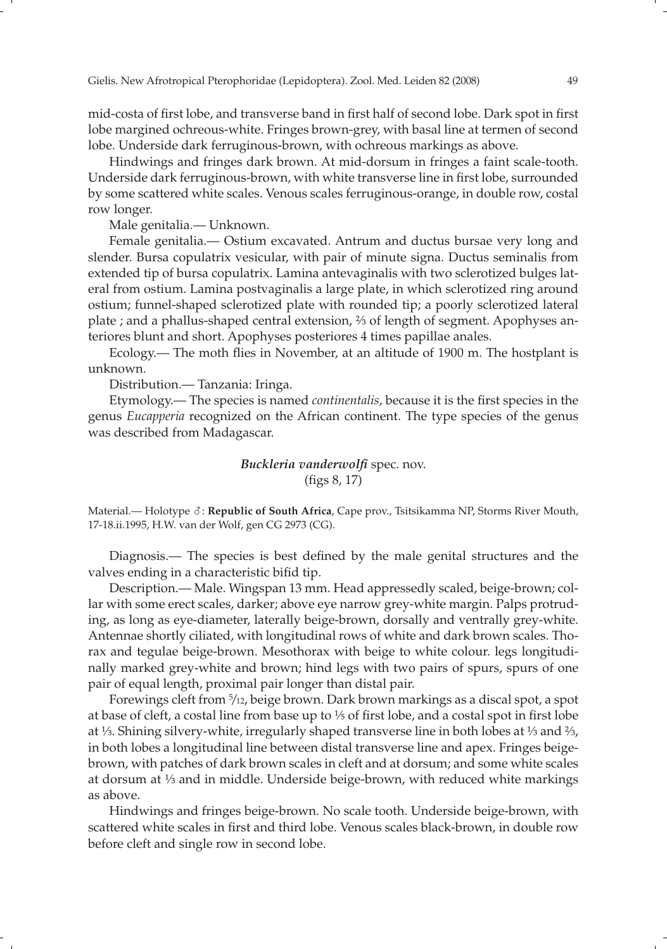mid-costa of first lobe, and transverse band in first half of second lobe. Dark spot in first lobe margined ochreous-white. Fringes brown-grey, with basal line at termen of second lobe. Underside dark ferruginous-brown, with ochreous markings as above.

 Hindwings and fringes dark brown. At mid-dorsum in fringes a faint scale-tooth. Underside dark ferruginous-brown, with white transverse line in first lobe, surrounded by some scattered white scales. Venous scales ferruginous-orange, in double row, costal row longer.

Male genitalia.— Unknown.

 Female genitalia.— Ostium excavated. Antrum and ductus bursae very long and slender. Bursa copulatrix vesicular, with pair of minute signa. Ductus seminalis from extended tip of bursa copulatrix. Lamina antevaginalis with two sclerotized bulges lateral from ostium. Lamina postvaginalis a large plate, in which sclerotized ring around ostium; funnel-shaped sclerotized plate with rounded tip; a poorly sclerotized lateral plate ; and a phallus-shaped central extension, ⅔ of length of segment. Apophyses anteriores blunt and short. Apophyses posteriores 4 times papillae anales.

Ecology.— The moth flies in November, at an altitude of 1900 m. The hostplant is unknown.

Distribution.— Tanzania: Iringa.

Etymology.— The species is named *continentalis*, because it is the first species in the genus *Eucapperia* recognized on the African continent. The type species of the genus was described from Madagascar.

> *Buckleria vanderwolfi* spec. nov.  $(figs 8, 17)$

Material.— Holotype  $\delta$ : **Republic of South Africa**, Cape prov., Tsitsikamma NP, Storms River Mouth, 17-18.ii.1995, H.W. van der Wolf, gen CG 2973 (CG).

Diagnosis.— The species is best defined by the male genital structures and the valves ending in a characteristic bifid tip.

 Description.— Male. Wingspan 13 mm. Head appressedly scaled, beige-brown; collar with some erect scales, darker; above eye narrow grey-white margin. Palps protruding, as long as eye-diameter, laterally beige-brown, dorsally and ventrally grey-white. Antennae shortly ciliated, with longitudinal rows of white and dark brown scales. Thorax and tegulae beige-brown. Mesothorax with beige to white colour. legs longitudinally marked grey-white and brown; hind legs with two pairs of spurs, spurs of one pair of equal length, proximal pair longer than distal pair.

 Forewings cleft from 5 /12, beige brown. Dark brown markings as a discal spot, a spot at base of cleft, a costal line from base up to  $\frac{1}{5}$  of first lobe, and a costal spot in first lobe at ⅓. Shining silvery-white, irregularly shaped transverse line in both lobes at ⅓ and ⅔, in both lobes a longitudinal line between distal transverse line and apex. Fringes beigebrown, with patches of dark brown scales in cleft and at dorsum; and some white scales at dorsum at ⅓ and in middle. Underside beige-brown, with reduced white markings as above.

 Hindwings and fringes beige-brown. No scale tooth. Underside beige-brown, with scattered white scales in first and third lobe. Venous scales black-brown, in double row before cleft and single row in second lobe.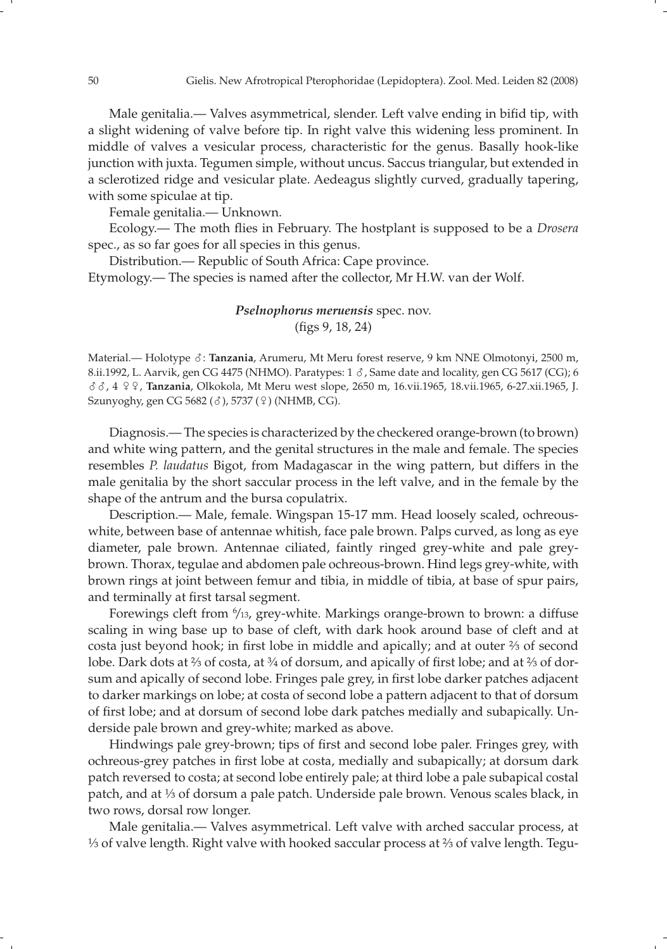Male genitalia.— Valves asymmetrical, slender. Left valve ending in bifid tip, with a slight widening of valve before tip. In right valve this widening less prominent. In middle of valves a vesicular process, characteristic for the genus. Basally hook-like junction with juxta. Tegumen simple, without uncus. Saccus triangular, but extended in a sclerotized ridge and vesicular plate. Aedeagus slightly curved, gradually tapering, with some spiculae at tip.

Female genitalia.— Unknown.

Ecology.— The moth flies in February. The hostplant is supposed to be a *Drosera* spec., as so far goes for all species in this genus.

 Distribution.— Republic of South Africa: Cape province. Etymology.— The species is named after the collector, Mr H.W. van der Wolf.

# *Pselnophorus meruensis* spec. nov.  $(figs 9, 18, 24)$

Material.— Holotype *š* : **Tanzania**, Arumeru, Mt Meru forest reserve, 9 km NNE Olmotonyi, 2500 m, 8.ii.1992, L. Aarvik, gen CG 4475 (NHMO). Paratypes: 1  $\delta$  , Same date and locality, gen CG 5617 (CG); 6 --, 4 , **Tanzania**, Olkokola, Mt Meru west slope, 2650 m, 16.vii.1965, 18.vii.1965, 6-27.xii.1965, J. Szunyoghy, gen CG 5682 (♂), 5737 (♀) (NHMB, CG).

 Diagnosis.— The species is characterized by the checkered orange-brown (to brown) and white wing pattern, and the genital structures in the male and female. The species resembles *P. laudatus* Bigot, from Madagascar in the wing pattern, but differs in the male genitalia by the short saccular process in the left valve, and in the female by the shape of the antrum and the bursa copulatrix.

 Description.— Male, female. Wingspan 15-17 mm. Head loosely scaled, ochreouswhite, between base of antennae whitish, face pale brown. Palps curved, as long as eye diameter, pale brown. Antennae ciliated, faintly ringed grey-white and pale greybrown. Thorax, tegulae and abdomen pale ochreous-brown. Hind legs grey-white, with brown rings at joint between femur and tibia, in middle of tibia, at base of spur pairs, and terminally at first tarsal segment.

Forewings cleft from <sup>6</sup>/13, grey-white. Markings orange-brown to brown: a diffuse scaling in wing base up to base of cleft, with dark hook around base of cleft and at costa just beyond hook; in first lobe in middle and apically; and at outer  $\frac{2}{3}$  of second lobe. Dark dots at ⅔ of costa, at ¾ of dorsum, and apically of first lobe; and at ⅔ of dorsum and apically of second lobe. Fringes pale grey, in first lobe darker patches adjacent to darker markings on lobe; at costa of second lobe a pattern adjacent to that of dorsum of first lobe; and at dorsum of second lobe dark patches medially and subapically. Underside pale brown and grey-white; marked as above.

Hindwings pale grey-brown; tips of first and second lobe paler. Fringes grey, with ochreous-grey patches in first lobe at costa, medially and subapically; at dorsum dark patch reversed to costa; at second lobe entirely pale; at third lobe a pale subapical costal patch, and at ⅓ of dorsum a pale patch. Underside pale brown. Venous scales black, in two rows, dorsal row longer.

 Male genitalia.— Valves asymmetrical. Left valve with arched saccular process, at ⅓ of valve length. Right valve with hooked saccular process at ⅔ of valve length. Tegu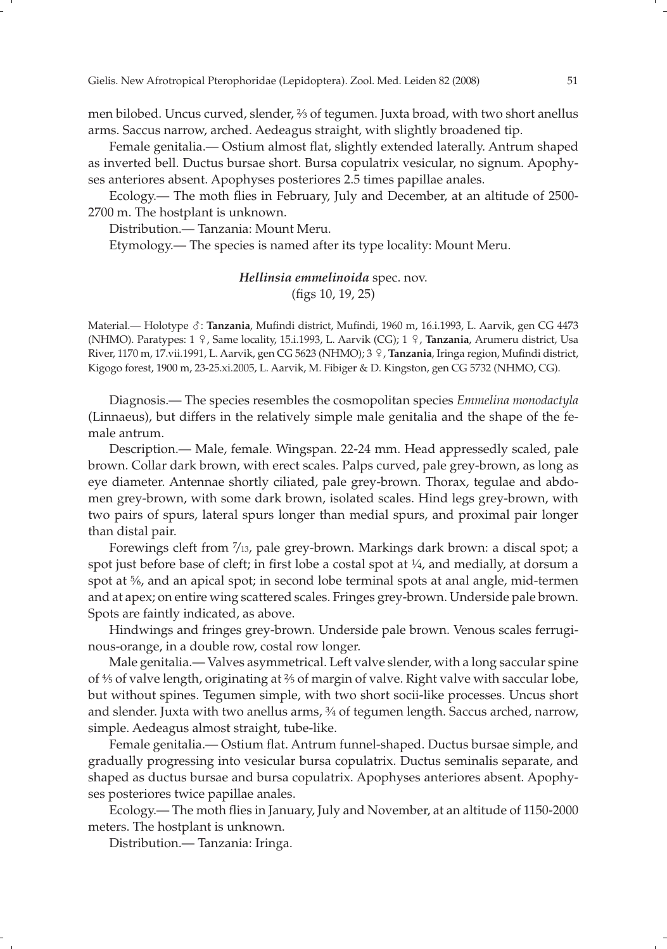men bilobed. Uncus curved, slender, ⅔ of tegumen. Juxta broad, with two short anellus arms. Saccus narrow, arched. Aedeagus straight, with slightly broadened tip.

Female genitalia.— Ostium almost flat, slightly extended laterally. Antrum shaped as inverted bell. Ductus bursae short. Bursa copulatrix vesicular, no signum. Apophyses anteriores absent. Apophyses posteriores 2.5 times papillae anales.

Ecology.— The moth flies in February, July and December, at an altitude of 2500-2700 m. The hostplant is unknown.

Distribution.— Tanzania: Mount Meru.

Etymology.— The species is named after its type locality: Mount Meru.

## *Hellinsia emmelinoida* spec. nov.

 $(figs 10, 19, 25)$ 

Material.— Holotype *δ* : **Tanzania**, Mufindi district, Mufindi, 1960 m, 16.i.1993, L. Aarvik, gen CG 4473 (NHMO). Paratypes: 1 º, Same locality, 15.i.1993, L. Aarvik (CG); 1 º, **Tanzania**, Arumeru district, Usa River, 1170 m, 17.vii.1991, L. Aarvik, gen CG 5623 (NHMO); 3 º, Tanzania, Iringa region, Mufindi district, Kigogo forest, 1900 m, 23-25.xi.2005, L. Aarvik, M. Fibiger & D. Kingston, gen CG 5732 (NHMO, CG).

 Diagnosis.— The species resembles the cosmopolitan species *Emmelina monodactyla*  (Linnaeus), but differs in the relatively simple male genitalia and the shape of the female antrum.

 Description.— Male, female. Wingspan. 22-24 mm. Head appressedly scaled, pale brown. Collar dark brown, with erect scales. Palps curved, pale grey-brown, as long as eye diameter. Antennae shortly ciliated, pale grey-brown. Thorax, tegulae and abdomen grey-brown, with some dark brown, isolated scales. Hind legs grey-brown, with two pairs of spurs, lateral spurs longer than medial spurs, and proximal pair longer than distal pair.

 Forewings cleft from 7 /13, pale grey-brown. Markings dark brown: a discal spot; a spot just before base of cleft; in first lobe a costal spot at  $\frac{1}{4}$ , and medially, at dorsum a spot at  $\frac{5}{6}$ , and an apical spot; in second lobe terminal spots at anal angle, mid-termen and at apex; on entire wing scattered scales. Fringes grey-brown. Underside pale brown. Spots are faintly indicated, as above.

 Hindwings and fringes grey-brown. Underside pale brown. Venous scales ferruginous-orange, in a double row, costal row longer.

 Male genitalia.— Valves asymmetrical. Left valve slender, with a long saccular spine of  $\frac{4}{5}$  of valve length, originating at  $\frac{2}{5}$  of margin of valve. Right valve with saccular lobe, but without spines. Tegumen simple, with two short socii-like processes. Uncus short and slender. Juxta with two anellus arms, ¾ of tegumen length. Saccus arched, narrow, simple. Aedeagus almost straight, tube-like.

Female genitalia.— Ostium flat. Antrum funnel-shaped. Ductus bursae simple, and gradually progressing into vesicular bursa copulatrix. Ductus seminalis separate, and shaped as ductus bursae and bursa copulatrix. Apophyses anteriores absent. Apophyses posteriores twice papillae anales.

Ecology.— The moth flies in January, July and November, at an altitude of 1150-2000 meters. The hostplant is unknown.

Distribution.— Tanzania: Iringa.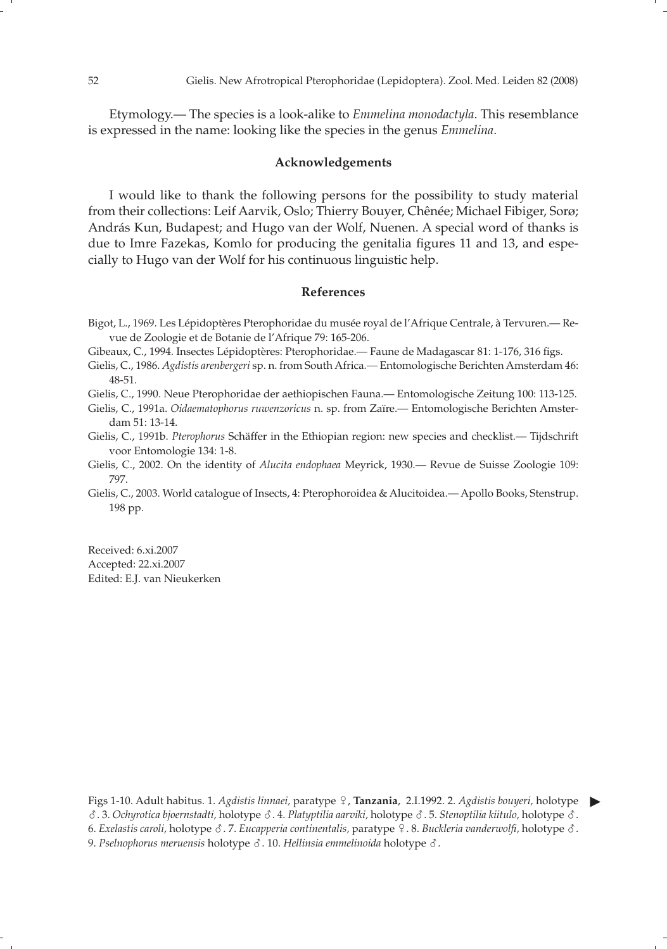Etymology.— The species is a look-alike to *Emmelina monodactyla*. This resemblance is expressed in the name: looking like the species in the genus *Emmelina*.

# **Acknowledgements**

 I would like to thank the following persons for the possibility to study material from their collections: Leif Aarvik, Oslo; Thierry Bouyer, Chênée; Michael Fibiger, Sorø; András Kun, Budapest; and Hugo van der Wolf, Nuenen. A special word of thanks is due to Imre Fazekas, Komlo for producing the genitalia figures 11 and 13, and especially to Hugo van der Wolf for his continuous linguistic help.

# **References**

- Bigot, L., 1969. Les Lépidoptères Pterophoridae du musée royal de l'Afrique Centrale, à Tervuren.— Revue de Zoologie et de Botanie de l'Afrique 79: 165-206.
- Gibeaux, C., 1994. Insectes Lépidoptères: Pterophoridae.— Faune de Madagascar 81: 1-176, 316 figs.
- Gielis, C., 1986. *Agdistis arenbergeri* sp. n. from South Africa*.—* Entomologische Berichten Amsterdam 46: 48-51.
- Gielis, C., 1990. Neue Pterophoridae der aethiopischen Fauna.— Entomologische Zeitung 100: 113-125.
- Gielis, C., 1991a. *Oidaematophorus ruwenzoricus* n. sp. from Zaïre.— Entomologische Berichten Amsterdam 51: 13-14.
- Gielis, C., 1991b. *Pterophorus* Schäffer in the Ethiopian region: new species and checklist.— Tijdschrift voor Entomologie 134: 1-8.
- Gielis, C., 2002. On the identity of *Alucita endophaea* Meyrick, 1930.— Revue de Suisse Zoologie 109: 797.
- Gielis, C., 2003. World catalogue of Insects, 4: Pterophoroidea & Alucitoidea.— Apollo Books, Stenstrup. 198 pp.

Received: 6.xi.2007 Accepted: 22.xi.2007 Edited: E.J. van Nieukerken

Figs 1-10. Adult habitus. 1. *Agdistis linnaei,* paratype , **Tanzania**, 2.I.1992. 2. *Agdistis bouyeri,* holotype δ. 3. *Ochyrotica bjoernstadti,* holotype δ. 4. Platyptilia aarviki, holotype δ. 5. Stenoptilia kiitulo, holotype δ. 6. *Exelastis caroli,* holotype δ. 7. *Eucapperia continentalis,* paratype ♀. 8. *Buckleria vanderwolfi,* holotype δ. 9. Pselnophorus meruensis holotype *δ* . 10. *Hellinsia emmelinoida* holotype *δ* .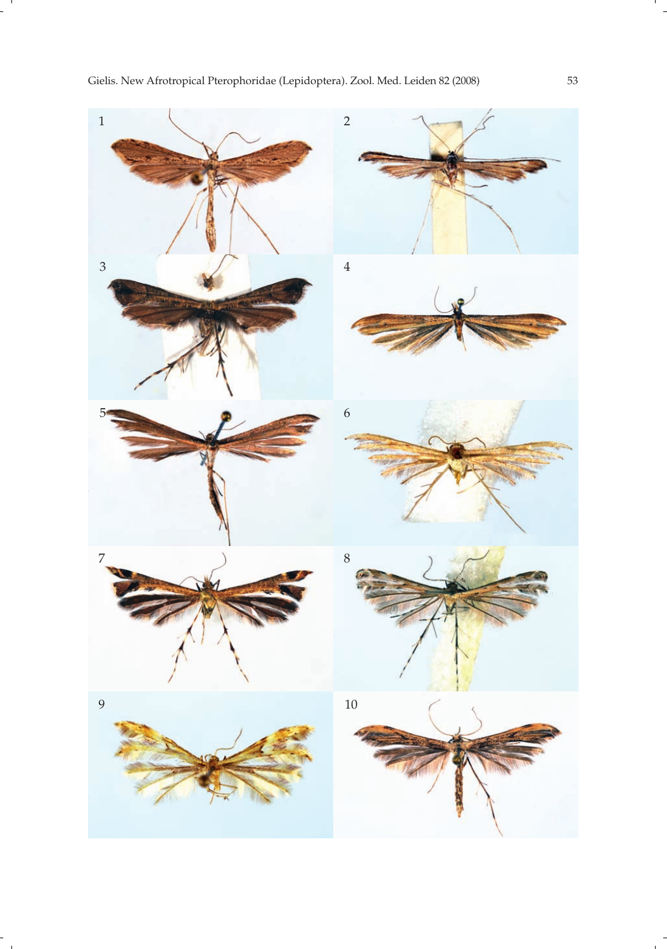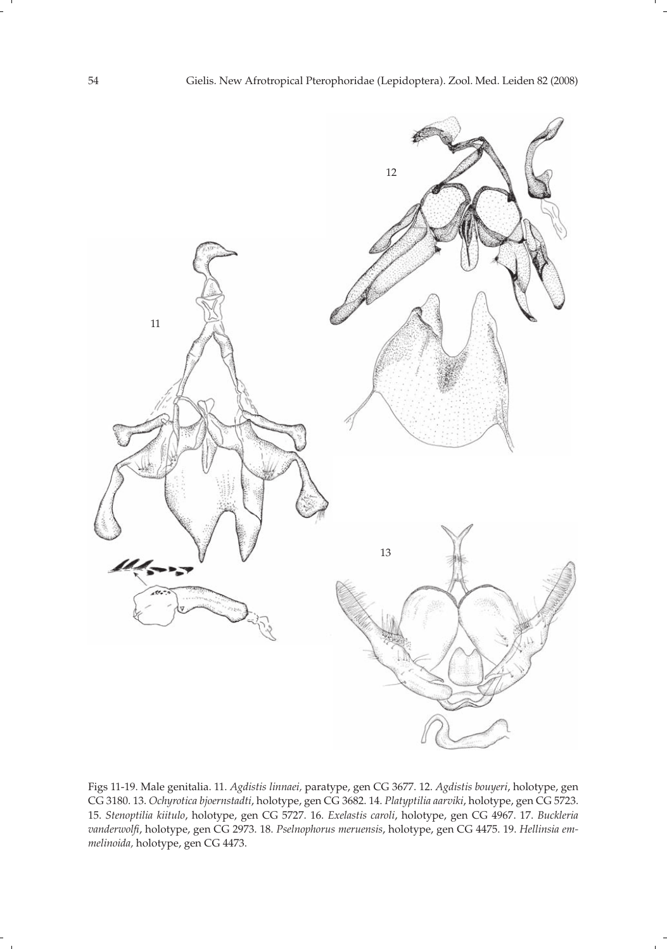

Figs 11-19. Male genitalia. 11. *Agdistis linnaei,* paratype, gen CG 3677. 12. *Agdistis bouyeri*, holotype, gen CG 3180. 13. *Ochyrotica bjoernstadti*, holotype, gen CG 3682. 14. *Platyptilia aarviki*, holotype, gen CG 5723. 15. *Stenoptilia kiitulo*, holotype, gen CG 5727. 16. *Exelastis caroli*, holotype, gen CG 4967. 17. *Buckleria vanderwolfi*, holotype, gen CG 2973. 18. *Pselnophorus meruensis*, holotype, gen CG 4475. 19. *Hellinsia emmelinoida,* holotype, gen CG 4473.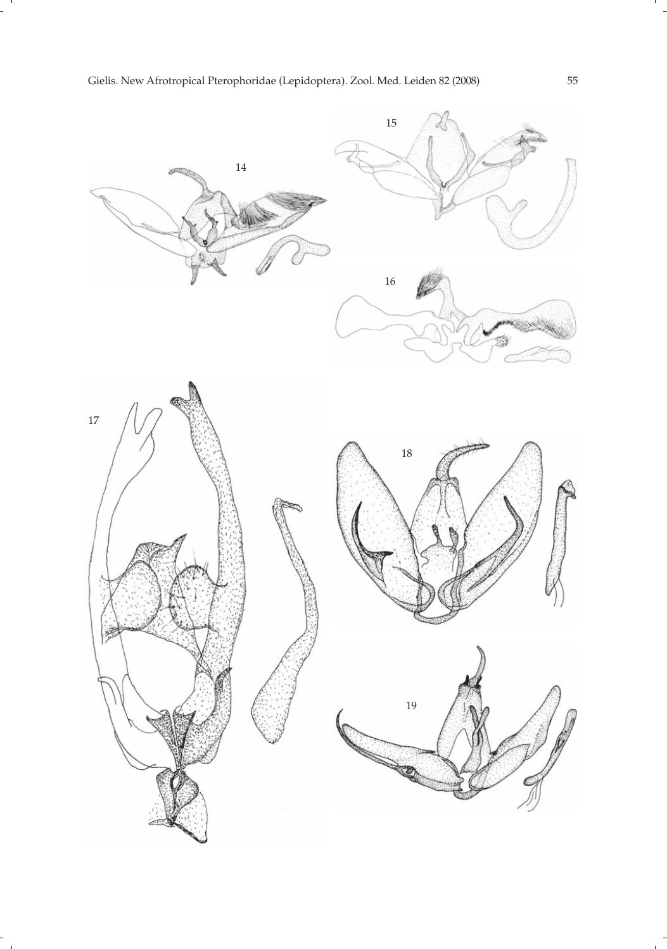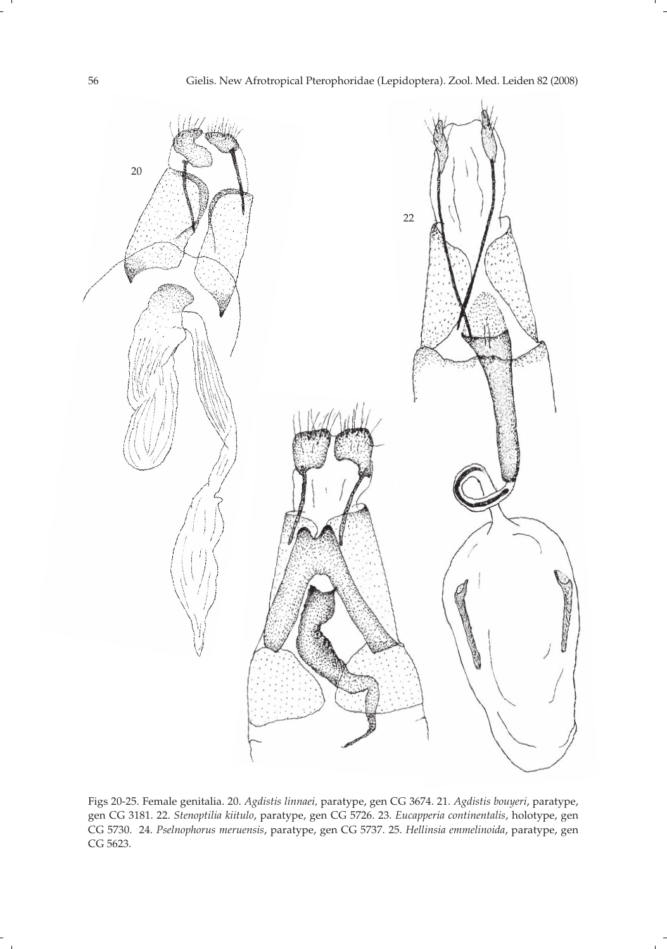

Figs 20-25. Female genitalia. 20. *Agdistis linnaei,* paratype, gen CG 3674. 21. *Agdistis bouyeri*, paratype, gen CG 3181. 22. *Stenoptilia kiitulo*, paratype, gen CG 5726. 23. *Eucapperia continentalis*, holotype, gen CG 5730.24. *Pselnophorus meruensis*, paratype, gen CG 5737. 25. *Hellinsia emmelinoida*, paratype, gen CG 5623.